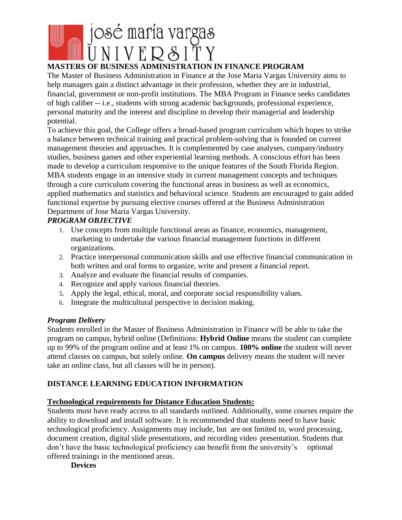

# **MASTERS OF BUSINESS ADMINISTRATION IN FINANCE PROGRAM**

The Master of Business Administration in Finance at the Jose Maria Vargas University aims to help managers gain a distinct advantage in their profession, whether they are in industrial, financial, government or non-profit institutions. The MBA Program in Finance seeks candidates of high caliber -- i.e., students with strong academic backgrounds, professional experience, personal maturity and the interest and discipline to develop their managerial and leadership potential.

To achieve this goal, the College offers a broad-based program curriculum which hopes to strike a balance between technical training and practical problem-solving that is founded on current management theories and approaches. It is complemented by case analyses, company/industry studies, business games and other experiential learning methods. A conscious effort has been made to develop a curriculum responsive to the unique features of the South Florida Region. MBA students engage in an intensive study in current management concepts and techniques through a core curriculum covering the functional areas in business as well as economics, applied mathematics and statistics and behavioral science. Students are encouraged to gain added functional expertise by pursuing elective courses offered at the Business Administration Department of Jose Maria Vargas University.

# *PROGRAM OBJECTIVE*

- 1. Use concepts from multiple functional areas as finance, economics, management, marketing to undertake the various financial management functions in different organizations.
- 2. Practice interpersonal communication skills and use effective financial communication in both written and oral forms to organize, write and present a financial report.
- 3. Analyze and evaluate the financial results of companies.
- 4. Recognize and apply various financial theories.
- 5. Apply the legal, ethical, moral, and corporate social responsibility values.
- 6. Integrate the multicultural perspective in decision making.

### *Program Delivery*

Students enrolled in the Master of Business Administration in Finance will be able to take the program on campus, hybrid online (Definitions: **Hybrid Online** means the student can complete up to 99% of the program online and at least 1% on campus. **100% online** the student will never attend classes on campus, but solely online. **On campus** delivery means the student will never take an online class, but all classes will be in person).

# **DISTANCE LEARNING EDUCATION INFORMATION**

# **Technological requirements for Distance Education Students:**

Students must have ready access to all standards outlined. Additionally, some courses require the ability to download and install software. It is recommended that students need to have basic technological proficiency. Assignments may include, but are not limited to, word processing, document creation, digital slide presentations, and recording video presentation. Students that don't have the basic technological proficiency can benefit from the university's optional offered trainings in the mentioned areas.

**Devices**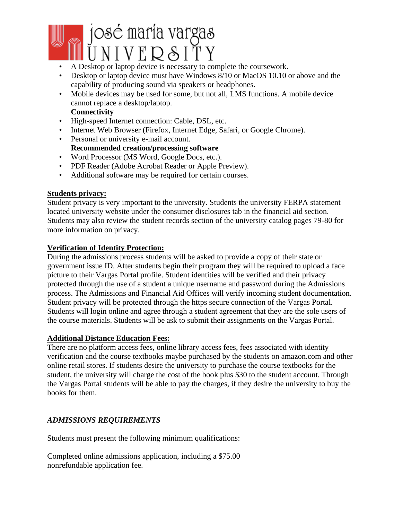# josé maría vargas<br>UNIVERSITY

- A Desktop or laptop device is necessary to complete the coursework.
- Desktop or laptop device must have Windows 8/10 or MacOS 10.10 or above and the capability of producing sound via speakers or headphones.
- Mobile devices may be used for some, but not all, LMS functions. A mobile device cannot replace a desktop/laptop.

# **Connectivity**

- High-speed Internet connection: Cable, DSL, etc.
- Internet Web Browser (Firefox, Internet Edge, Safari, or Google Chrome).
- Personal or university e-mail account. **Recommended creation/processing software**
- Word Processor (MS Word, Google Docs, etc.).
- PDF Reader (Adobe Acrobat Reader or Apple Preview).
- Additional software may be required for certain courses.

### **Students privacy:**

Student privacy is very important to the university. Students the university FERPA statement located university website under the consumer disclosures tab in the financial aid section. Students may also review the student records section of the university catalog pages 79-80 for more information on privacy.

### **Verification of Identity Protection:**

During the admissions process students will be asked to provide a copy of their state or government issue ID. After students begin their program they will be required to upload a face picture to their Vargas Portal profile. Student identities will be verified and their privacy protected through the use of a student a unique username and password during the Admissions process. The Admissions and Financial Aid Offices will verify incoming student documentation. Student privacy will be protected through the https secure connection of the Vargas Portal. Students will login online and agree through a student agreement that they are the sole users of the course materials. Students will be ask to submit their assignments on the Vargas Portal.

### **Additional Distance Education Fees:**

There are no platform access fees, online library access fees, fees associated with identity verification and the course textbooks maybe purchased by the students on amazon.com and other online retail stores. If students desire the university to purchase the course textbooks for the student, the university will charge the cost of the book plus \$30 to the student account. Through the Vargas Portal students will be able to pay the charges, if they desire the university to buy the books for them.

# *ADMISSIONS REQUIREMENTS*

Students must present the following minimum qualifications:

Completed online admissions application, including a \$75.00 nonrefundable application fee.